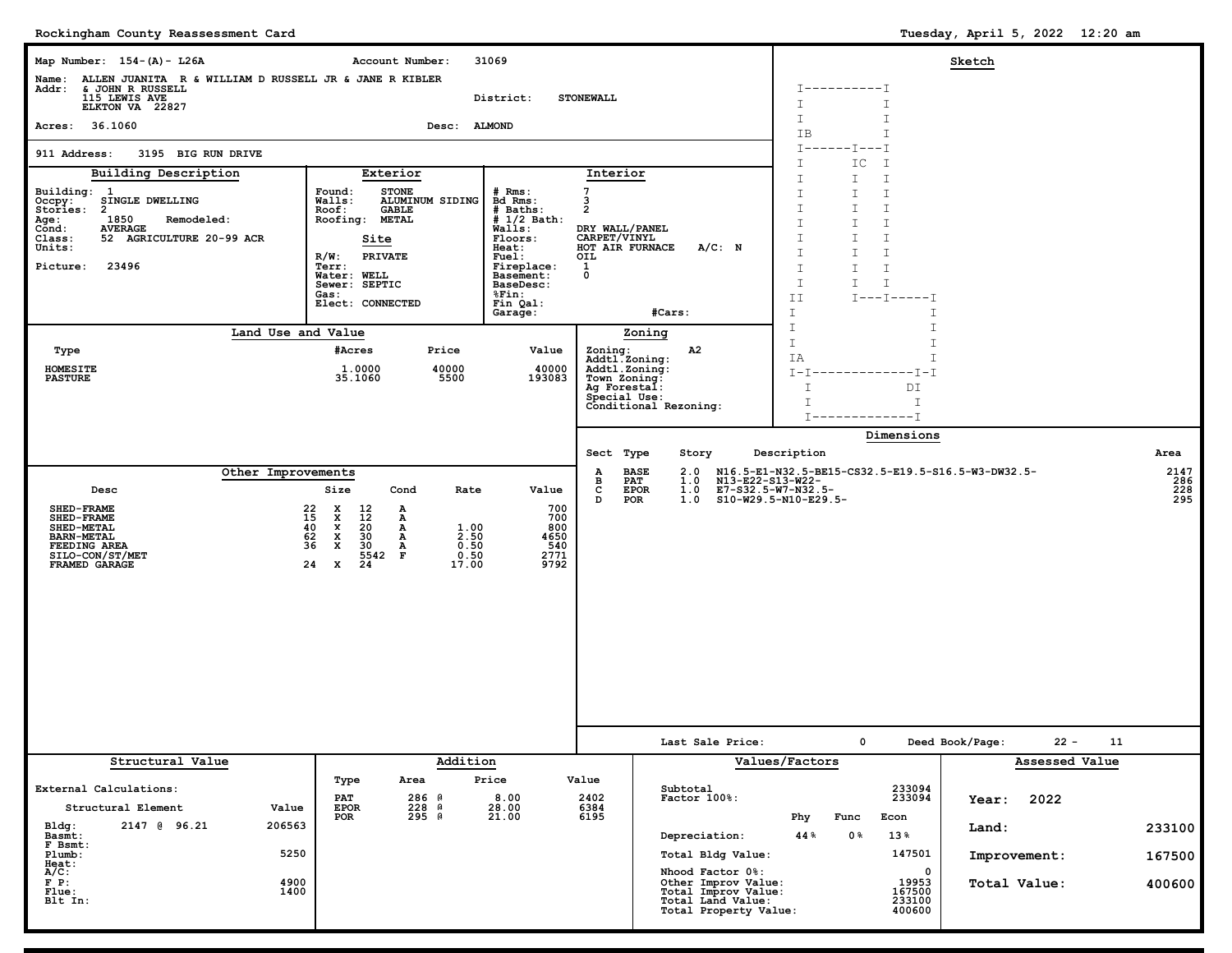**Rockingham County Reassessment Card**

| Map Number: 154-(A)- L26A                                                                                                                                                                                                     | Account Number:<br>31069                                                                                                                                                                                                                                                                              | Sketch                                                                                                                                                          |                                                                                                                                                                                                                   |                                                                                                                                                                                                                                    |                                                                          |                            |  |
|-------------------------------------------------------------------------------------------------------------------------------------------------------------------------------------------------------------------------------|-------------------------------------------------------------------------------------------------------------------------------------------------------------------------------------------------------------------------------------------------------------------------------------------------------|-----------------------------------------------------------------------------------------------------------------------------------------------------------------|-------------------------------------------------------------------------------------------------------------------------------------------------------------------------------------------------------------------|------------------------------------------------------------------------------------------------------------------------------------------------------------------------------------------------------------------------------------|--------------------------------------------------------------------------|----------------------------|--|
| Name: ALLEN JUANITA R & WILLIAM D RUSSELL JR & JANE R KIBLER<br>Addr: & JOHN R RUSSELL<br>115 LEWIS AVE<br>ELKTON VA 22827                                                                                                    |                                                                                                                                                                                                                                                                                                       | District:                                                                                                                                                       | <b>STONEWALL</b>                                                                                                                                                                                                  | $T - - - - - - - - - T$<br>I<br>I                                                                                                                                                                                                  |                                                                          |                            |  |
| Acres: 36.1060                                                                                                                                                                                                                | Desc: ALMOND                                                                                                                                                                                                                                                                                          |                                                                                                                                                                 |                                                                                                                                                                                                                   | I<br>I<br>IB<br>I                                                                                                                                                                                                                  |                                                                          |                            |  |
| 911 Address:<br>3195 BIG RUN DRIVE                                                                                                                                                                                            |                                                                                                                                                                                                                                                                                                       | $I$ ------ $I$ ---I<br>I<br>IC<br>I                                                                                                                             |                                                                                                                                                                                                                   |                                                                                                                                                                                                                                    |                                                                          |                            |  |
| Building Description<br>Building: 1<br>SINGLE DWELLING<br>Occpy:<br>Stories:<br>$\overline{a}$<br>1850<br>Remodeled:<br>Age :<br><b>AVERAGE</b><br>Cond:<br>52 AGRICULTURE 20-99 ACR<br>Class:<br>Units:<br>Picture:<br>23496 | Exterior<br>Found:<br><b>STONE</b><br>ALUMINUM SIDING<br><b>Walls:</b><br>Roof:<br>GABLE<br>Roofing:<br><b>METAL</b><br>Site<br><b>PRIVATE</b><br>$R/W$ :<br>Terr:<br><b>Water: WELL</b><br>Sewer: SEPTIC<br>Gas:<br>Elect: CONNECTED                                                                 | $#$ Rms:<br>Bd Rms:<br># Baths:<br>$# 1/2$ Bath:<br>Walls:<br>Floors:<br>Heat:<br>Fuel:<br>Fireplace:<br>Basement:<br>BaseDesc:<br>%Fin:<br>Fin Qal:<br>Garage: | Interior<br>7<br>3<br>$\overline{2}$<br>DRY WALL/PANEL<br>CARPET/VINYL<br>A/C: N<br>HOT AIR FURNACE<br>OIL<br>1<br>$\mathbf 0$<br>#Cars:                                                                          | I<br>I.<br>I<br>I<br>I.<br>I<br>$\mathbbm{I}$<br>I.<br>I<br>I<br>I.<br>I.<br>I<br>I<br>I.<br>$\mathbbm{I}$<br>I.<br>I<br>I<br>I.<br>$\mathbbm{1}$<br>$\mathbbm{I}$<br>$\mathbb{I}$<br>$\mathbbm{1}$<br>ΙI<br>$I---I---I$<br>I<br>Ι |                                                                          |                            |  |
| Land Use and Value                                                                                                                                                                                                            |                                                                                                                                                                                                                                                                                                       |                                                                                                                                                                 | Zoning                                                                                                                                                                                                            | $\mathbbm{I}$<br>I<br>I<br>I                                                                                                                                                                                                       |                                                                          |                            |  |
| Type<br><b>HOMESITE</b><br><b>PASTURE</b>                                                                                                                                                                                     | #Acres<br>Price<br>1.0000<br>40000<br>35.1060<br>5500                                                                                                                                                                                                                                                 | Value<br>40000<br>193083                                                                                                                                        | Zoning:<br>A2<br>Addtl.Zoning:<br>Addtl.Zoning:<br>Town Zoning:<br>Ag Forestal:<br>Special Use:<br>Conditional Rezoning:                                                                                          | T.<br>ΙA<br>I-I-------------I-I<br>Τ<br>DΙ<br>$\mathsf{T}$<br>I<br>$T$ -------------T                                                                                                                                              |                                                                          |                            |  |
|                                                                                                                                                                                                                               |                                                                                                                                                                                                                                                                                                       |                                                                                                                                                                 |                                                                                                                                                                                                                   | Dimensions                                                                                                                                                                                                                         |                                                                          |                            |  |
| Other Improvements                                                                                                                                                                                                            |                                                                                                                                                                                                                                                                                                       |                                                                                                                                                                 | Story<br>Sect Type<br><b>BASE</b><br>2.0<br>Α                                                                                                                                                                     | Description<br>N16.5-E1-N32.5-BE15-CS32.5-E19.5-S16.5-W3-DW32.5-                                                                                                                                                                   |                                                                          | Area                       |  |
| Desc<br><b>SHED-FRAME</b><br>22<br>15<br>40<br>62<br><b>SHED-FRAME</b><br><b>SHED-METAL</b><br><b>BARN-METAL</b><br>FEEDING AREA<br>SILO-CON/ST/MET<br>FRAMED GARAGE                                                          | Size<br>Cond<br>Rate<br>x<br>$\begin{smallmatrix} 12 \ 12 \end{smallmatrix}$<br>А<br>$\mathbf{x}$<br>А<br>$\mathbf{x}$<br>20<br>Α<br>1.00<br>$\mathbf x$<br>30<br>2.50<br>А<br>36<br>$\mathbf x$<br>30<br>0.50<br>А<br>5542<br>$\mathbf{F}$<br>0.50<br>$\overline{24}$<br>24<br>$\mathbf{x}$<br>17.00 | Value<br>700<br>700<br>800<br>4650<br>540<br>2771<br>9792                                                                                                       | 1.0<br>N13-E22-S13-W22-<br>в<br>PAT<br>c<br><b>EPOR</b><br>1.0<br>D<br>POR<br>1.0                                                                                                                                 | E7-S32.5-W7-N32.5-<br>S10-W29.5-N10-E29.5-                                                                                                                                                                                         |                                                                          | 2147<br>286<br>228<br>295  |  |
|                                                                                                                                                                                                                               |                                                                                                                                                                                                                                                                                                       |                                                                                                                                                                 | Last Sale Price:                                                                                                                                                                                                  | $\mathbf{o}$                                                                                                                                                                                                                       | Deed Book/Page:<br>$22 -$<br>11                                          |                            |  |
| Structural Value<br>External Calculations:<br>Structural Element<br>Value<br>Bldg:<br>2147 @ 96.21<br>206563<br>Basmt:<br>F Bsmt:<br>5250<br>Plumb:<br>Heat:<br>A/C:<br>$F$ $P$ :<br>4900<br>1400<br>Flue:<br>Blt In:         | Addition<br>Type<br>Area<br>286 A<br><b>PAT</b><br>228 A<br><b>EPOR</b><br>295 A<br>POR                                                                                                                                                                                                               | Price<br>8.00<br>28.00<br>21.00                                                                                                                                 | Value<br>Subtotal<br>2402<br>Factor 100%:<br>$6384$<br>6195<br>Depreciation:<br>Total Bldg Value:<br>Nhood Factor 0%:<br>Other Improv Value:<br>Total Improv Value:<br>Total Land Value:<br>Total Property Value: | Values/Factors<br>233094<br>233094<br>Phy<br>Func<br>Econ<br>44 %<br>0 %<br>13%<br>147501<br>$\mathbf 0$<br>19953<br>167500<br>233100<br>400600                                                                                    | Assessed Value<br>2022<br>Year:<br>Land:<br>Improvement:<br>Total Value: | 233100<br>167500<br>400600 |  |